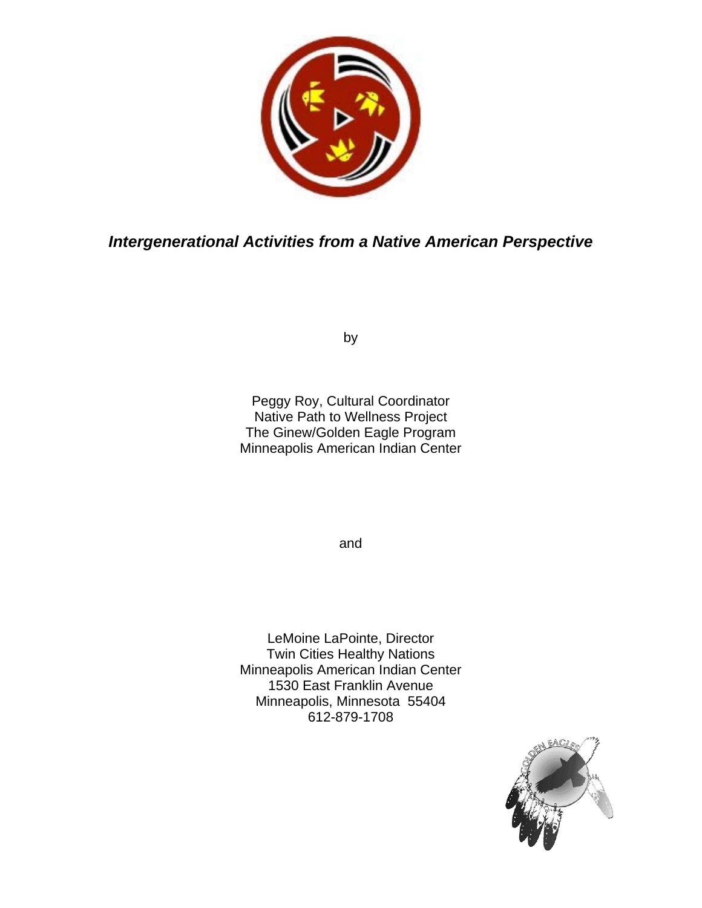

*Intergenerational Activities from a Native American Perspective* 

by

Peggy Roy, Cultural Coordinator Native Path to Wellness Project The Ginew/Golden Eagle Program Minneapolis American Indian Center

and

LeMoine LaPointe, Director Twin Cities Healthy Nations Minneapolis American Indian Center 1530 East Franklin Avenue Minneapolis, Minnesota 55404 612-879-1708

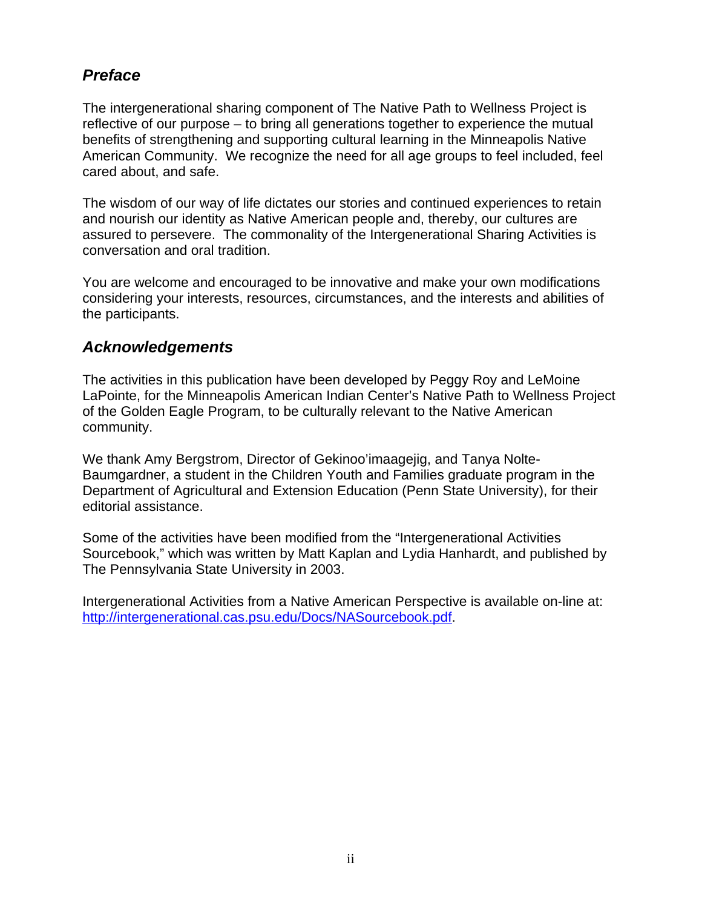# *Preface*

The intergenerational sharing component of The Native Path to Wellness Project is reflective of our purpose – to bring all generations together to experience the mutual benefits of strengthening and supporting cultural learning in the Minneapolis Native American Community. We recognize the need for all age groups to feel included, feel cared about, and safe.

The wisdom of our way of life dictates our stories and continued experiences to retain and nourish our identity as Native American people and, thereby, our cultures are assured to persevere. The commonality of the Intergenerational Sharing Activities is conversation and oral tradition.

You are welcome and encouraged to be innovative and make your own modifications considering your interests, resources, circumstances, and the interests and abilities of the participants.

# *Acknowledgements*

The activities in this publication have been developed by Peggy Roy and LeMoine LaPointe, for the Minneapolis American Indian Center's Native Path to Wellness Project of the Golden Eagle Program, to be culturally relevant to the Native American community.

We thank Amy Bergstrom, Director of Gekinoo'imaagejig, and Tanya Nolte-Baumgardner, a student in the Children Youth and Families graduate program in the Department of Agricultural and Extension Education (Penn State University), for their editorial assistance.

Some of the activities have been modified from the "Intergenerational Activities Sourcebook," which was written by Matt Kaplan and Lydia Hanhardt, and published by The Pennsylvania State University in 2003.

Intergenerational Activities from a Native American Perspective is available on-line at: <http://intergenerational.cas.psu.edu/Docs/NASourcebook.pdf>.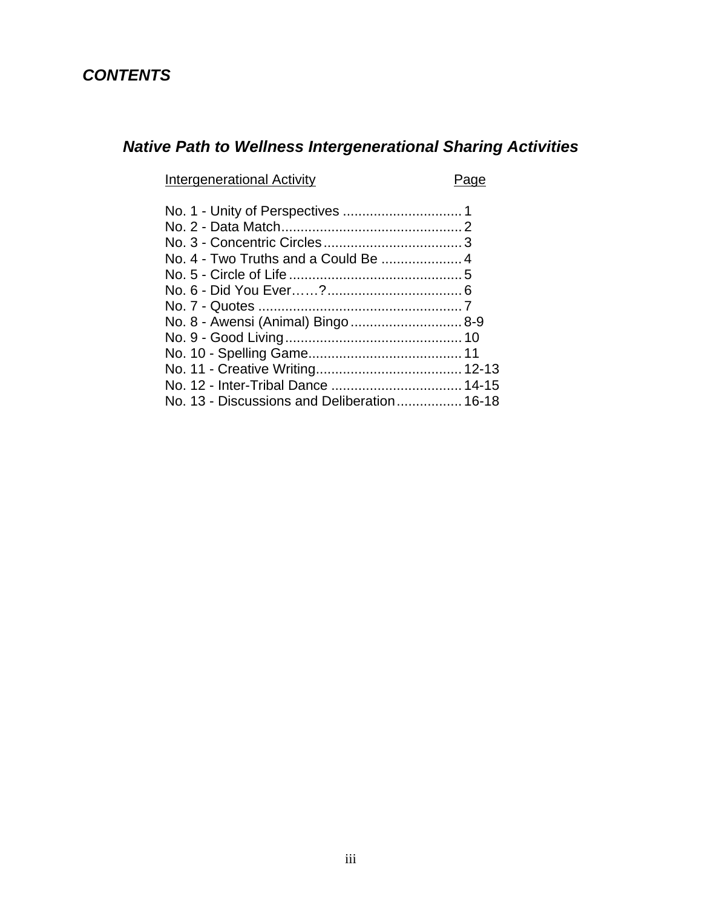# *CONTENTS*

# *Native Path to Wellness Intergenerational Sharing Activities*

Intergenerational Activity **Page** 

| No. 8 - Awensi (Animal) Bingo  8-9          |  |
|---------------------------------------------|--|
|                                             |  |
|                                             |  |
|                                             |  |
|                                             |  |
| No. 13 - Discussions and Deliberation 16-18 |  |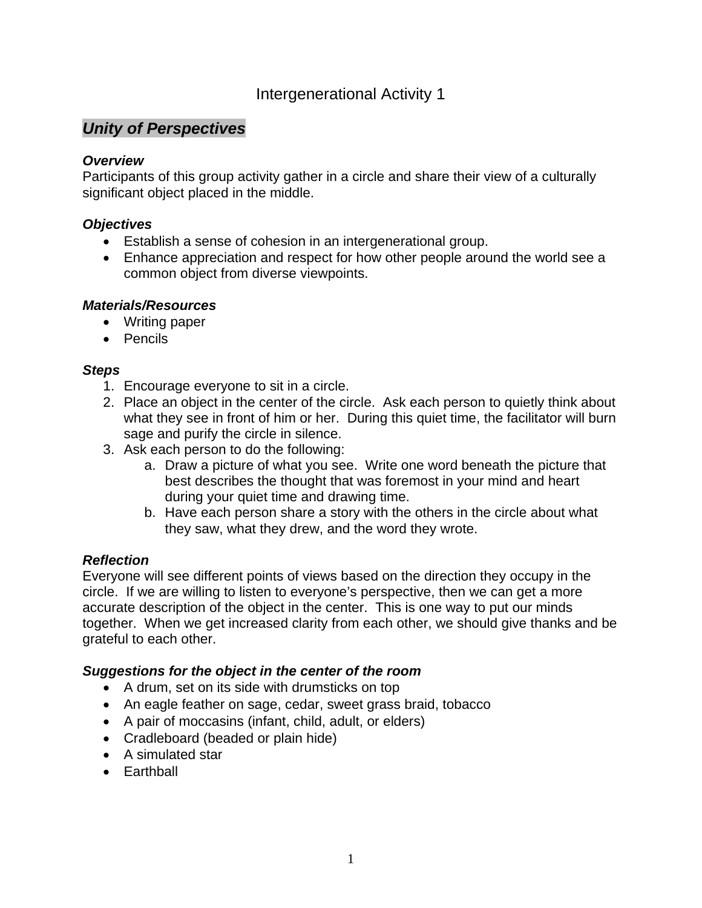# *Unity of Perspectives*

### *Overview*

Participants of this group activity gather in a circle and share their view of a culturally significant object placed in the middle.

### *Objectives*

- Establish a sense of cohesion in an intergenerational group.
- Enhance appreciation and respect for how other people around the world see a common object from diverse viewpoints.

### *Materials/Resources*

- Writing paper
- Pencils

### *Steps*

- 1. Encourage everyone to sit in a circle.
- 2. Place an object in the center of the circle. Ask each person to quietly think about what they see in front of him or her. During this quiet time, the facilitator will burn sage and purify the circle in silence.
- 3. Ask each person to do the following:
	- a. Draw a picture of what you see. Write one word beneath the picture that best describes the thought that was foremost in your mind and heart during your quiet time and drawing time.
	- b. Have each person share a story with the others in the circle about what they saw, what they drew, and the word they wrote.

# *Reflection*

Everyone will see different points of views based on the direction they occupy in the circle. If we are willing to listen to everyone's perspective, then we can get a more accurate description of the object in the center. This is one way to put our minds together. When we get increased clarity from each other, we should give thanks and be grateful to each other.

### *Suggestions for the object in the center of the room*

- A drum, set on its side with drumsticks on top
- An eagle feather on sage, cedar, sweet grass braid, tobacco
- A pair of moccasins (infant, child, adult, or elders)
- Cradleboard (beaded or plain hide)
- A simulated star
- Earthball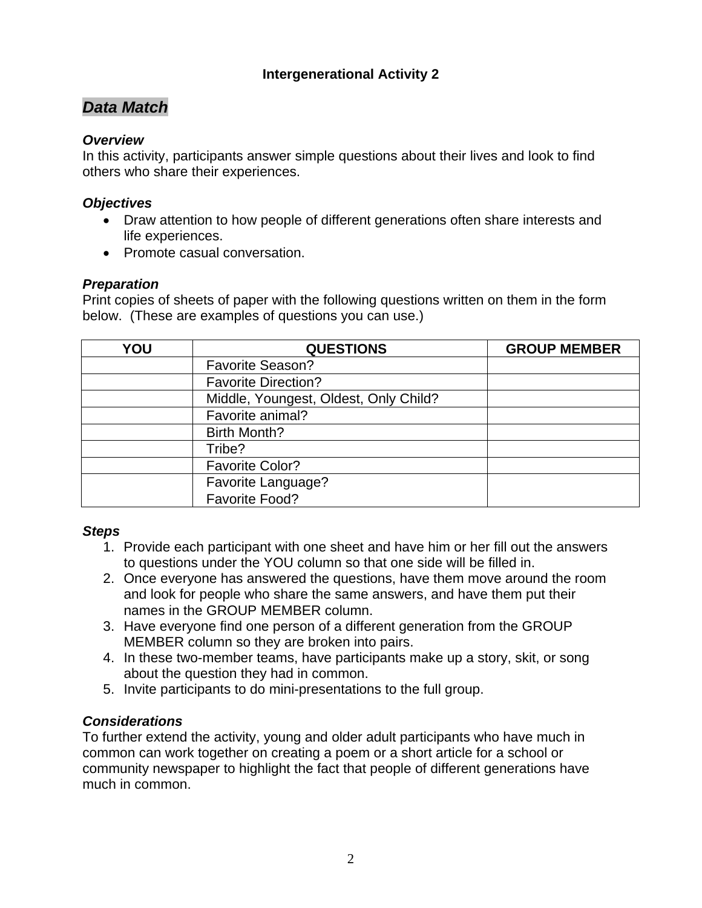# *Data Match*

### *Overview*

In this activity, participants answer simple questions about their lives and look to find others who share their experiences.

### *Objectives*

- Draw attention to how people of different generations often share interests and life experiences.
- Promote casual conversation.

### *Preparation*

Print copies of sheets of paper with the following questions written on them in the form below. (These are examples of questions you can use.)

| YOU | <b>QUESTIONS</b>                      | <b>GROUP MEMBER</b> |
|-----|---------------------------------------|---------------------|
|     | <b>Favorite Season?</b>               |                     |
|     | <b>Favorite Direction?</b>            |                     |
|     | Middle, Youngest, Oldest, Only Child? |                     |
|     | Favorite animal?                      |                     |
|     | <b>Birth Month?</b>                   |                     |
|     | Tribe?                                |                     |
|     | <b>Favorite Color?</b>                |                     |
|     | Favorite Language?                    |                     |
|     | Favorite Food?                        |                     |

### *Steps*

- 1. Provide each participant with one sheet and have him or her fill out the answers to questions under the YOU column so that one side will be filled in.
- 2. Once everyone has answered the questions, have them move around the room and look for people who share the same answers, and have them put their names in the GROUP MEMBER column.
- 3. Have everyone find one person of a different generation from the GROUP MEMBER column so they are broken into pairs.
- 4. In these two-member teams, have participants make up a story, skit, or song about the question they had in common.
- 5. Invite participants to do mini-presentations to the full group.

# *Considerations*

To further extend the activity, young and older adult participants who have much in common can work together on creating a poem or a short article for a school or community newspaper to highlight the fact that people of different generations have much in common.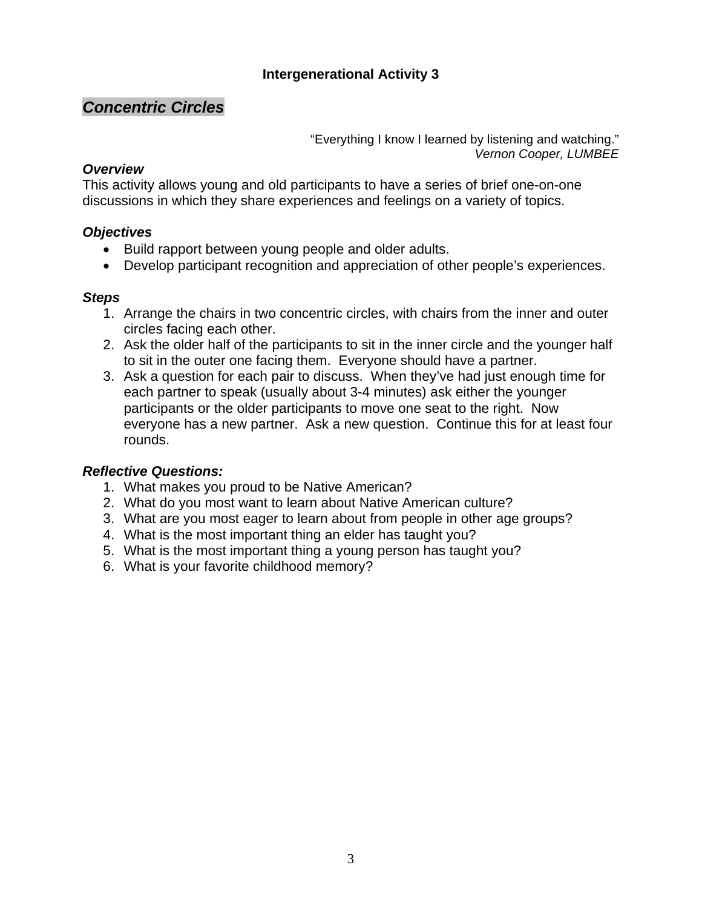# *Concentric Circles*

"Everything I know I learned by listening and watching." *Vernon Cooper, LUMBEE* 

### *Overview*

This activity allows young and old participants to have a series of brief one-on-one discussions in which they share experiences and feelings on a variety of topics.

### *Objectives*

- Build rapport between young people and older adults.
- Develop participant recognition and appreciation of other people's experiences.

### *Steps*

- 1. Arrange the chairs in two concentric circles, with chairs from the inner and outer circles facing each other.
- 2. Ask the older half of the participants to sit in the inner circle and the younger half to sit in the outer one facing them. Everyone should have a partner.
- 3. Ask a question for each pair to discuss. When they've had just enough time for each partner to speak (usually about 3-4 minutes) ask either the younger participants or the older participants to move one seat to the right. Now everyone has a new partner. Ask a new question. Continue this for at least four rounds.

# *Reflective Questions:*

- 1. What makes you proud to be Native American?
- 2. What do you most want to learn about Native American culture?
- 3. What are you most eager to learn about from people in other age groups?
- 4. What is the most important thing an elder has taught you?
- 5. What is the most important thing a young person has taught you?
- 6. What is your favorite childhood memory?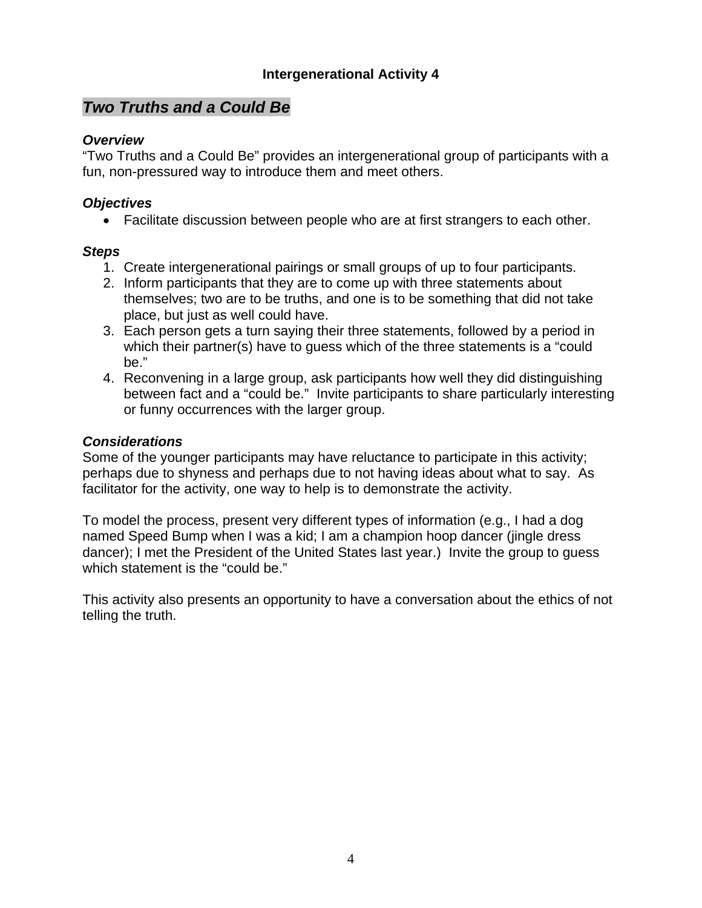# *Two Truths and a Could Be*

### *Overview*

"Two Truths and a Could Be" provides an intergenerational group of participants with a fun, non-pressured way to introduce them and meet others.

### *Objectives*

• Facilitate discussion between people who are at first strangers to each other.

### *Steps*

- 1. Create intergenerational pairings or small groups of up to four participants.
- 2. Inform participants that they are to come up with three statements about themselves; two are to be truths, and one is to be something that did not take place, but just as well could have.
- 3. Each person gets a turn saying their three statements, followed by a period in which their partner(s) have to guess which of the three statements is a "could be."
- 4. Reconvening in a large group, ask participants how well they did distinguishing between fact and a "could be." Invite participants to share particularly interesting or funny occurrences with the larger group.

### *Considerations*

Some of the younger participants may have reluctance to participate in this activity; perhaps due to shyness and perhaps due to not having ideas about what to say. As facilitator for the activity, one way to help is to demonstrate the activity.

To model the process, present very different types of information (e.g., I had a dog named Speed Bump when I was a kid; I am a champion hoop dancer (jingle dress dancer); I met the President of the United States last year.) Invite the group to guess which statement is the "could be."

This activity also presents an opportunity to have a conversation about the ethics of not telling the truth.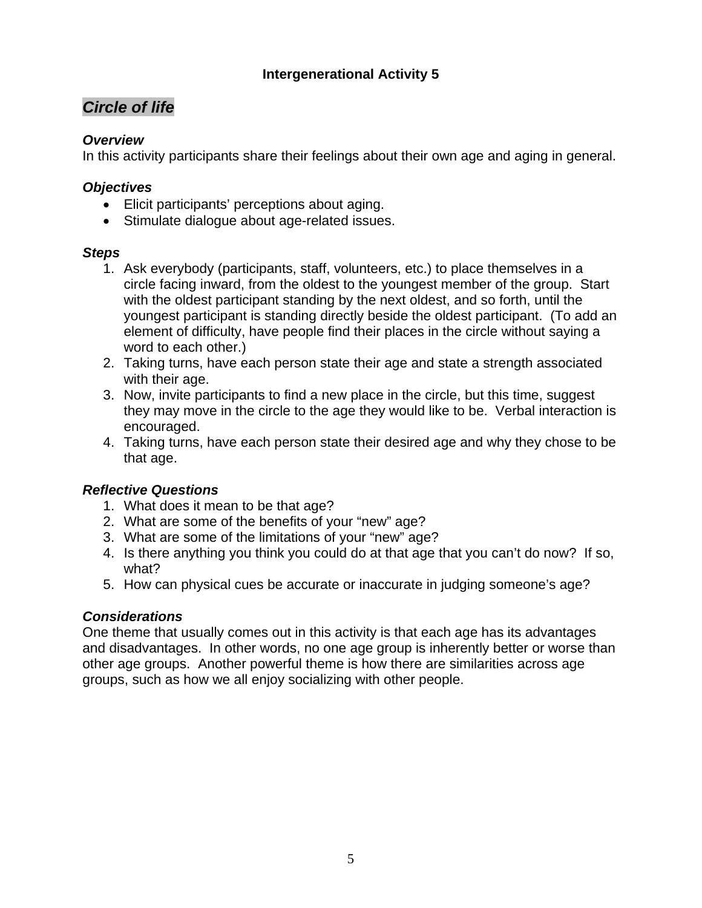# *Circle of life*

# *Overview*

In this activity participants share their feelings about their own age and aging in general.

# *Objectives*

- Elicit participants' perceptions about aging.
- Stimulate dialogue about age-related issues.

# *Steps*

- 1. Ask everybody (participants, staff, volunteers, etc.) to place themselves in a circle facing inward, from the oldest to the youngest member of the group. Start with the oldest participant standing by the next oldest, and so forth, until the youngest participant is standing directly beside the oldest participant. (To add an element of difficulty, have people find their places in the circle without saying a word to each other.)
- 2. Taking turns, have each person state their age and state a strength associated with their age.
- 3. Now, invite participants to find a new place in the circle, but this time, suggest they may move in the circle to the age they would like to be. Verbal interaction is encouraged.
- 4. Taking turns, have each person state their desired age and why they chose to be that age.

# *Reflective Questions*

- 1. What does it mean to be that age?
- 2. What are some of the benefits of your "new" age?
- 3. What are some of the limitations of your "new" age?
- 4. Is there anything you think you could do at that age that you can't do now? If so, what?
- 5. How can physical cues be accurate or inaccurate in judging someone's age?

# *Considerations*

One theme that usually comes out in this activity is that each age has its advantages and disadvantages. In other words, no one age group is inherently better or worse than other age groups. Another powerful theme is how there are similarities across age groups, such as how we all enjoy socializing with other people.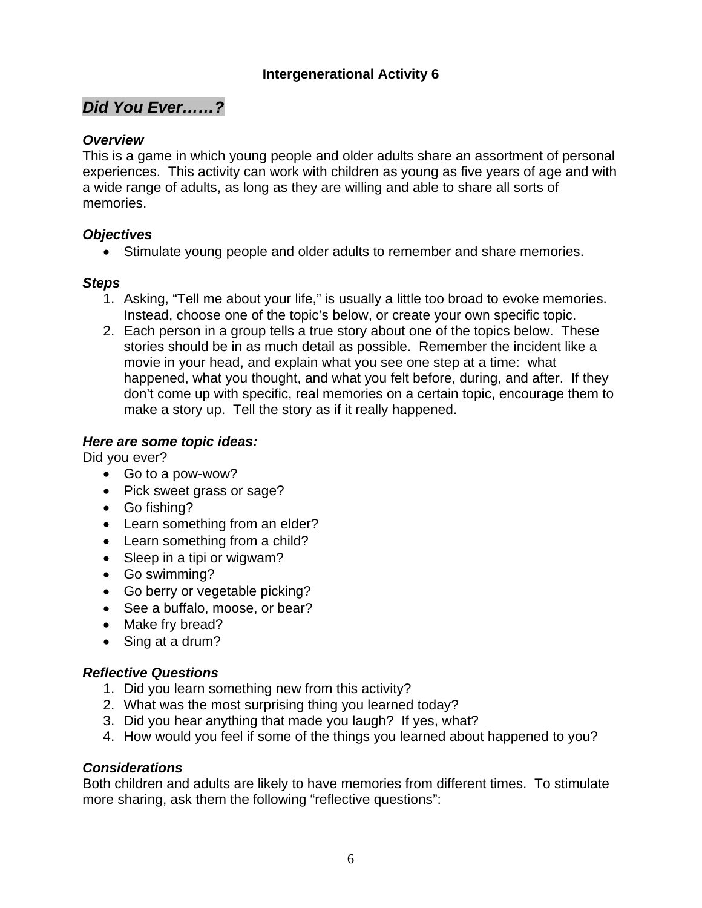# *Did You Ever……?*

# *Overview*

This is a game in which young people and older adults share an assortment of personal experiences. This activity can work with children as young as five years of age and with a wide range of adults, as long as they are willing and able to share all sorts of memories.

# *Objectives*

• Stimulate young people and older adults to remember and share memories.

# *Steps*

- 1. Asking, "Tell me about your life," is usually a little too broad to evoke memories. Instead, choose one of the topic's below, or create your own specific topic.
- 2. Each person in a group tells a true story about one of the topics below. These stories should be in as much detail as possible. Remember the incident like a movie in your head, and explain what you see one step at a time: what happened, what you thought, and what you felt before, during, and after. If they don't come up with specific, real memories on a certain topic, encourage them to make a story up. Tell the story as if it really happened.

# *Here are some topic ideas:*

Did you ever?

- Go to a pow-wow?
- Pick sweet grass or sage?
- Go fishing?
- Learn something from an elder?
- Learn something from a child?
- Sleep in a tipi or wigwam?
- Go swimming?
- Go berry or vegetable picking?
- See a buffalo, moose, or bear?
- Make fry bread?
- Sing at a drum?

# *Reflective Questions*

- 1. Did you learn something new from this activity?
- 2. What was the most surprising thing you learned today?
- 3. Did you hear anything that made you laugh? If yes, what?
- 4. How would you feel if some of the things you learned about happened to you?

# *Considerations*

Both children and adults are likely to have memories from different times. To stimulate more sharing, ask them the following "reflective questions":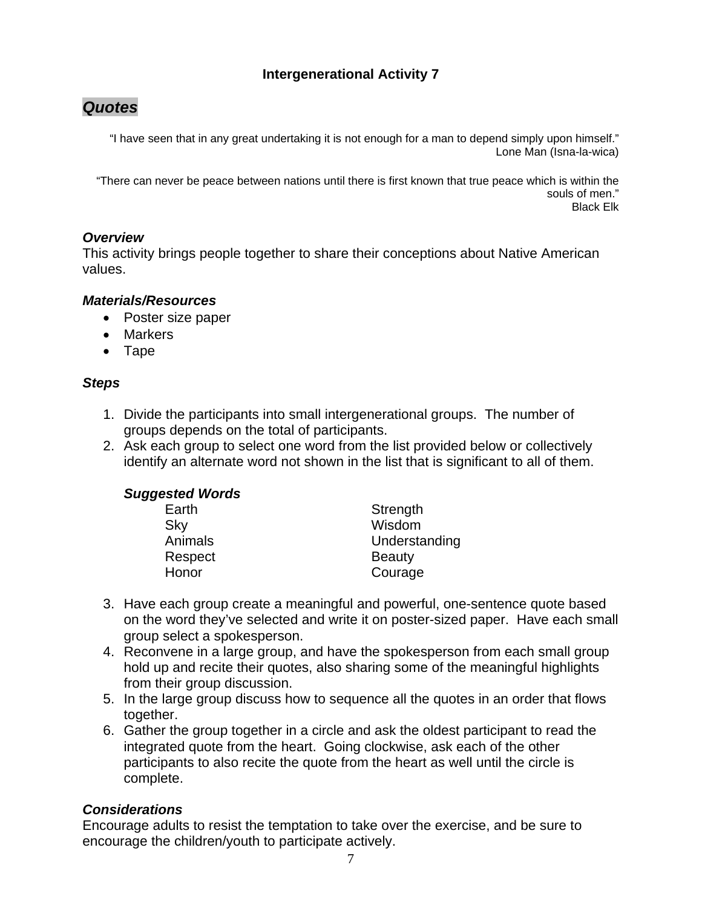# *Quotes*

"I have seen that in any great undertaking it is not enough for a man to depend simply upon himself." Lone Man (Isna-la-wica)

"There can never be peace between nations until there is first known that true peace which is within the souls of men." Black Elk

# *Overview*

This activity brings people together to share their conceptions about Native American values.

### *Materials/Resources*

- Poster size paper
- Markers
- Tape

### *Steps*

- 1. Divide the participants into small intergenerational groups. The number of groups depends on the total of participants.
- 2. Ask each group to select one word from the list provided below or collectively identify an alternate word not shown in the list that is significant to all of them.

| <b>Suggested Words</b> |               |
|------------------------|---------------|
| Earth                  | Strength      |
| Sky                    | Wisdom        |
| Animals                | Understanding |
| Respect                | <b>Beauty</b> |
| Honor                  | Courage       |

- 3. Have each group create a meaningful and powerful, one-sentence quote based on the word they've selected and write it on poster-sized paper. Have each small group select a spokesperson.
- 4. Reconvene in a large group, and have the spokesperson from each small group hold up and recite their quotes, also sharing some of the meaningful highlights from their group discussion.
- 5. In the large group discuss how to sequence all the quotes in an order that flows together.
- 6. Gather the group together in a circle and ask the oldest participant to read the integrated quote from the heart. Going clockwise, ask each of the other participants to also recite the quote from the heart as well until the circle is complete.

# *Considerations*

Encourage adults to resist the temptation to take over the exercise, and be sure to encourage the children/youth to participate actively.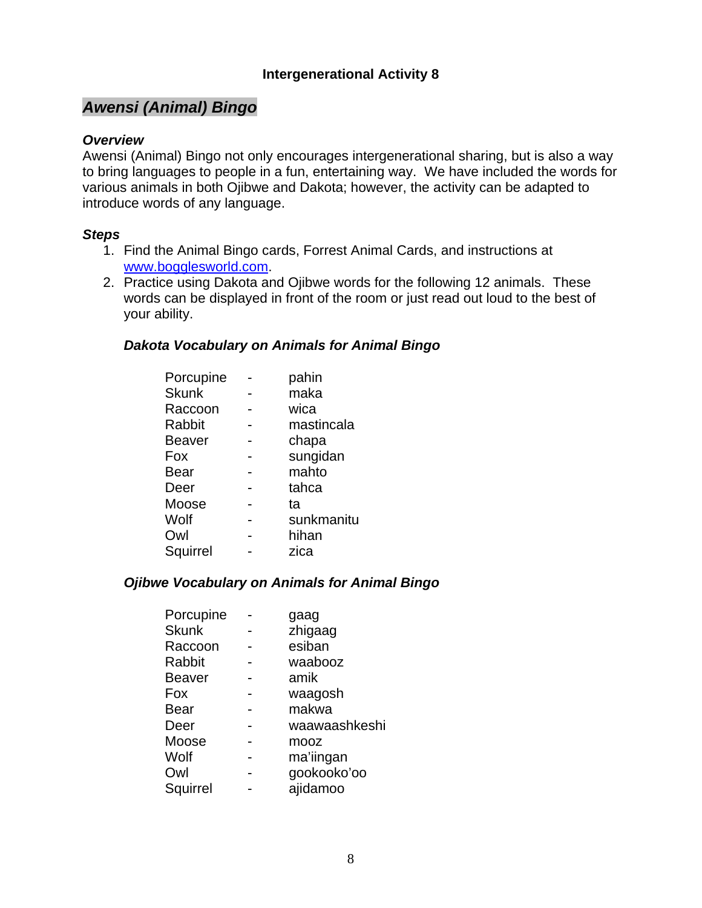# *Awensi (Animal) Bingo*

### *Overview*

Awensi (Animal) Bingo not only encourages intergenerational sharing, but is also a way to bring languages to people in a fun, entertaining way. We have included the words for various animals in both Ojibwe and Dakota; however, the activity can be adapted to introduce words of any language.

#### *Steps*

- 1. Find the Animal Bingo cards, Forrest Animal Cards, and instructions at [www.bogglesworld.com](http://www.bogglesworld.com/).
- 2. Practice using Dakota and Ojibwe words for the following 12 animals. These words can be displayed in front of the room or just read out loud to the best of your ability.

#### *Dakota Vocabulary on Animals for Animal Bingo*

| Porcupine | pahin      |
|-----------|------------|
|           | maka       |
|           | wica       |
|           | mastincala |
|           | chapa      |
|           | sungidan   |
|           | mahto      |
|           | tahca      |
|           | tа         |
|           | sunkmanitu |
|           | hihan      |
|           | zica       |
|           |            |

### *Ojibwe Vocabulary on Animals for Animal Bingo*

| gaag          |
|---------------|
| zhigaag       |
| esiban        |
| waabooz       |
| amik          |
| waagosh       |
| makwa         |
| waawaashkeshi |
| mooz          |
| ma'iingan     |
| gookooko'oo   |
| ajidamoo      |
|               |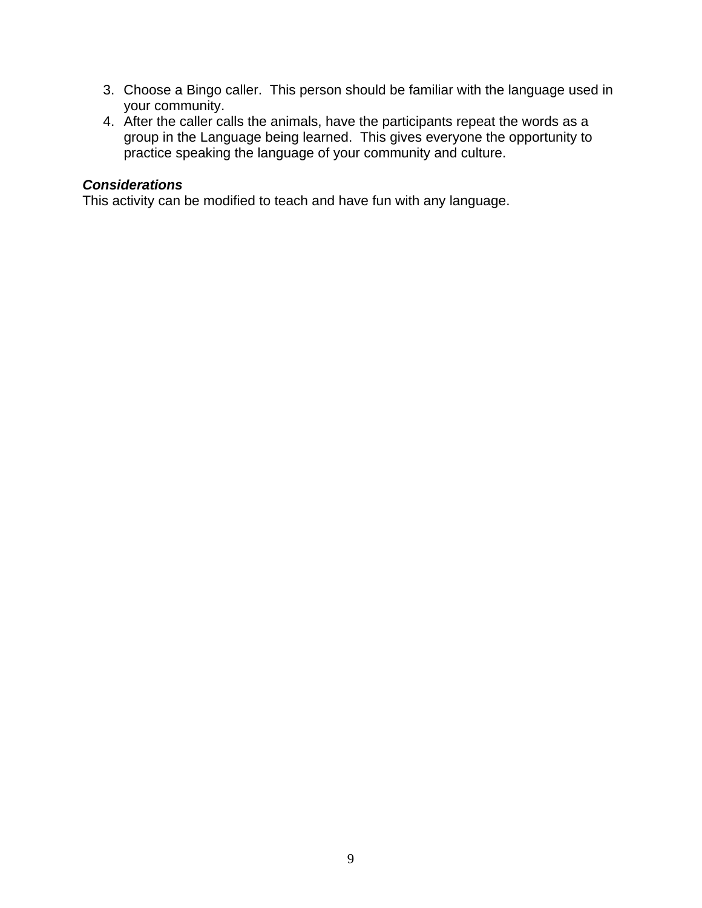- 3. Choose a Bingo caller. This person should be familiar with the language used in your community.
- 4. After the caller calls the animals, have the participants repeat the words as a group in the Language being learned. This gives everyone the opportunity to practice speaking the language of your community and culture.

# *Considerations*

This activity can be modified to teach and have fun with any language.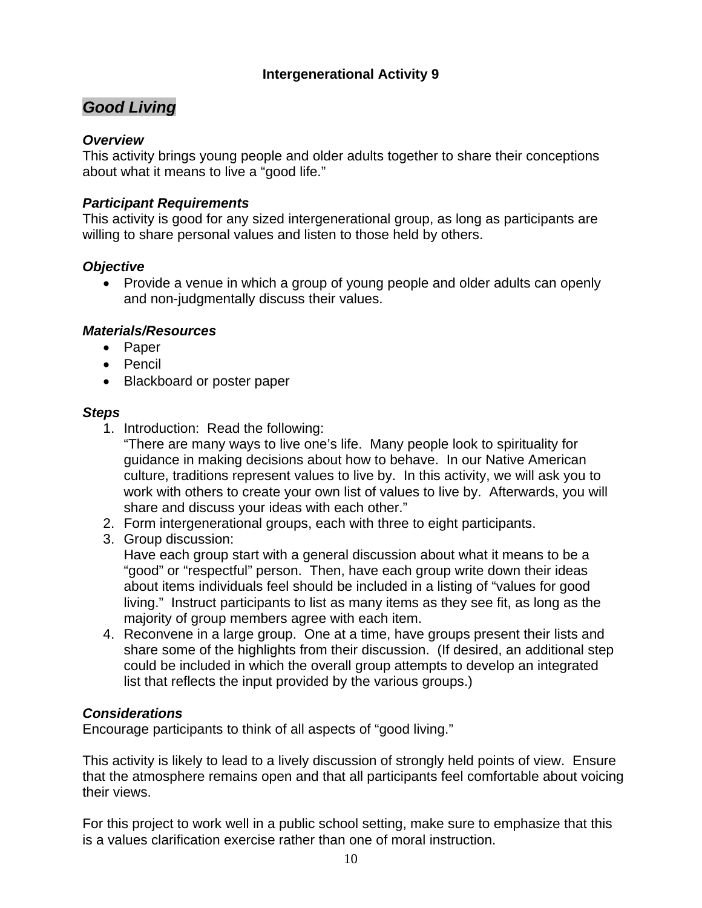# *Good Living*

### *Overview*

This activity brings young people and older adults together to share their conceptions about what it means to live a "good life."

### *Participant Requirements*

This activity is good for any sized intergenerational group, as long as participants are willing to share personal values and listen to those held by others.

### *Objective*

• Provide a venue in which a group of young people and older adults can openly and non-judgmentally discuss their values.

### *Materials/Resources*

- Paper
- Pencil
- Blackboard or poster paper

### *Steps*

1. Introduction: Read the following:

"There are many ways to live one's life. Many people look to spirituality for guidance in making decisions about how to behave. In our Native American culture, traditions represent values to live by. In this activity, we will ask you to work with others to create your own list of values to live by. Afterwards, you will share and discuss your ideas with each other."

- 2. Form intergenerational groups, each with three to eight participants.
- 3. Group discussion:

Have each group start with a general discussion about what it means to be a "good" or "respectful" person. Then, have each group write down their ideas about items individuals feel should be included in a listing of "values for good living." Instruct participants to list as many items as they see fit, as long as the majority of group members agree with each item.

4. Reconvene in a large group. One at a time, have groups present their lists and share some of the highlights from their discussion. (If desired, an additional step could be included in which the overall group attempts to develop an integrated list that reflects the input provided by the various groups.)

# *Considerations*

Encourage participants to think of all aspects of "good living."

This activity is likely to lead to a lively discussion of strongly held points of view. Ensure that the atmosphere remains open and that all participants feel comfortable about voicing their views.

For this project to work well in a public school setting, make sure to emphasize that this is a values clarification exercise rather than one of moral instruction.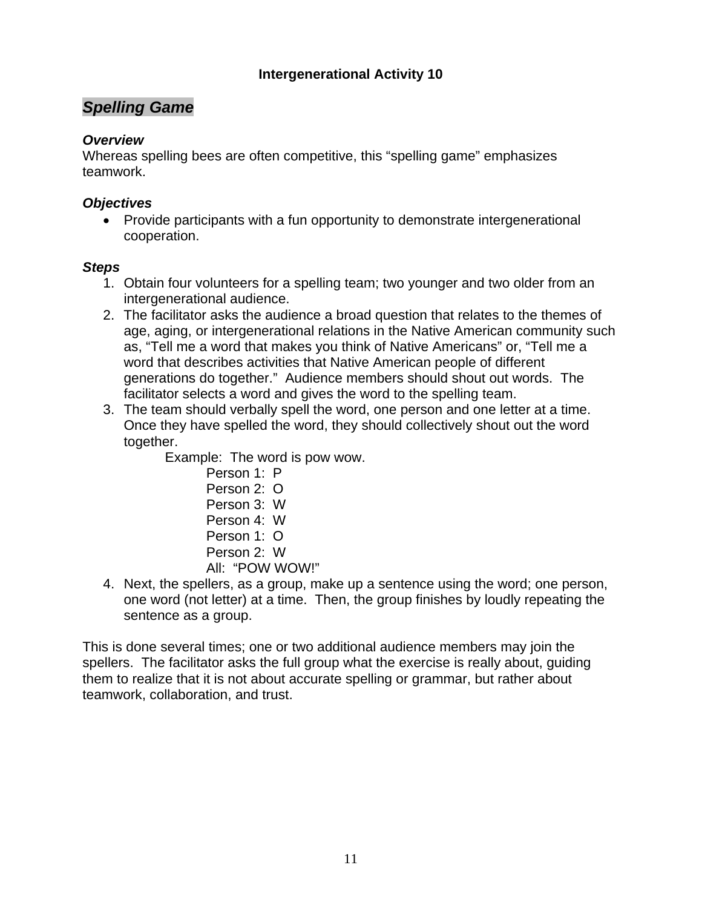# *Spelling Game*

### *Overview*

Whereas spelling bees are often competitive, this "spelling game" emphasizes teamwork.

### *Objectives*

• Provide participants with a fun opportunity to demonstrate intergenerational cooperation.

### *Steps*

- 1. Obtain four volunteers for a spelling team; two younger and two older from an intergenerational audience.
- 2. The facilitator asks the audience a broad question that relates to the themes of age, aging, or intergenerational relations in the Native American community such as, "Tell me a word that makes you think of Native Americans" or, "Tell me a word that describes activities that Native American people of different generations do together." Audience members should shout out words. The facilitator selects a word and gives the word to the spelling team.
- 3. The team should verbally spell the word, one person and one letter at a time. Once they have spelled the word, they should collectively shout out the word together.

Example: The word is pow wow.

- Person 1: P Person 2: O Person 3: W Person 4: W Person 1: O Person 2: W All: "POW WOW!"
- 4. Next, the spellers, as a group, make up a sentence using the word; one person, one word (not letter) at a time. Then, the group finishes by loudly repeating the sentence as a group.

This is done several times; one or two additional audience members may join the spellers. The facilitator asks the full group what the exercise is really about, guiding them to realize that it is not about accurate spelling or grammar, but rather about teamwork, collaboration, and trust.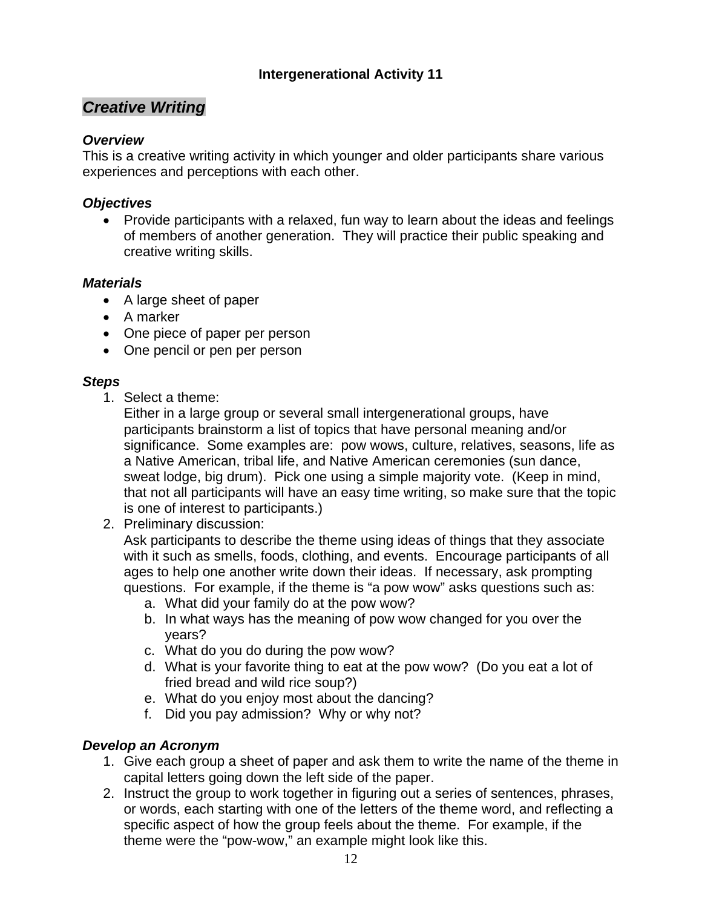# *Creative Writing*

# *Overview*

This is a creative writing activity in which younger and older participants share various experiences and perceptions with each other.

### *Objectives*

• Provide participants with a relaxed, fun way to learn about the ideas and feelings of members of another generation. They will practice their public speaking and creative writing skills.

### *Materials*

- A large sheet of paper
- A marker
- One piece of paper per person
- One pencil or pen per person

### *Steps*

1. Select a theme:

Either in a large group or several small intergenerational groups, have participants brainstorm a list of topics that have personal meaning and/or significance. Some examples are: pow wows, culture, relatives, seasons, life as a Native American, tribal life, and Native American ceremonies (sun dance, sweat lodge, big drum). Pick one using a simple majority vote. (Keep in mind, that not all participants will have an easy time writing, so make sure that the topic is one of interest to participants.)

2. Preliminary discussion:

Ask participants to describe the theme using ideas of things that they associate with it such as smells, foods, clothing, and events. Encourage participants of all ages to help one another write down their ideas. If necessary, ask prompting questions. For example, if the theme is "a pow wow" asks questions such as:

- a. What did your family do at the pow wow?
- b. In what ways has the meaning of pow wow changed for you over the years?
- c. What do you do during the pow wow?
- d. What is your favorite thing to eat at the pow wow? (Do you eat a lot of fried bread and wild rice soup?)
- e. What do you enjoy most about the dancing?
- f. Did you pay admission? Why or why not?

# *Develop an Acronym*

- 1. Give each group a sheet of paper and ask them to write the name of the theme in capital letters going down the left side of the paper.
- 2. Instruct the group to work together in figuring out a series of sentences, phrases, or words, each starting with one of the letters of the theme word, and reflecting a specific aspect of how the group feels about the theme. For example, if the theme were the "pow-wow," an example might look like this.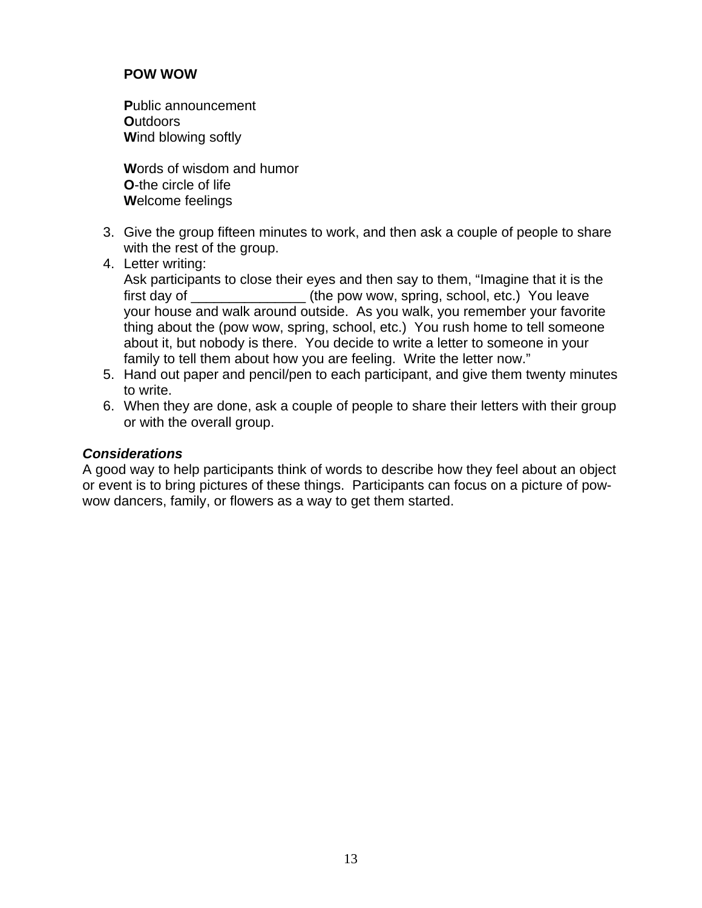### **POW WOW**

**P**ublic announcement **O**utdoors **W**ind blowing softly

**W**ords of wisdom and humor **O**-the circle of life **W**elcome feelings

- 3. Give the group fifteen minutes to work, and then ask a couple of people to share with the rest of the group.
- 4. Letter writing:

Ask participants to close their eyes and then say to them, "Imagine that it is the first day of \_\_\_\_\_\_\_\_\_\_\_\_\_\_\_ (the pow wow, spring, school, etc.) You leave your house and walk around outside. As you walk, you remember your favorite thing about the (pow wow, spring, school, etc.) You rush home to tell someone about it, but nobody is there. You decide to write a letter to someone in your family to tell them about how you are feeling. Write the letter now."

- 5. Hand out paper and pencil/pen to each participant, and give them twenty minutes to write.
- 6. When they are done, ask a couple of people to share their letters with their group or with the overall group.

### *Considerations*

A good way to help participants think of words to describe how they feel about an object or event is to bring pictures of these things. Participants can focus on a picture of powwow dancers, family, or flowers as a way to get them started.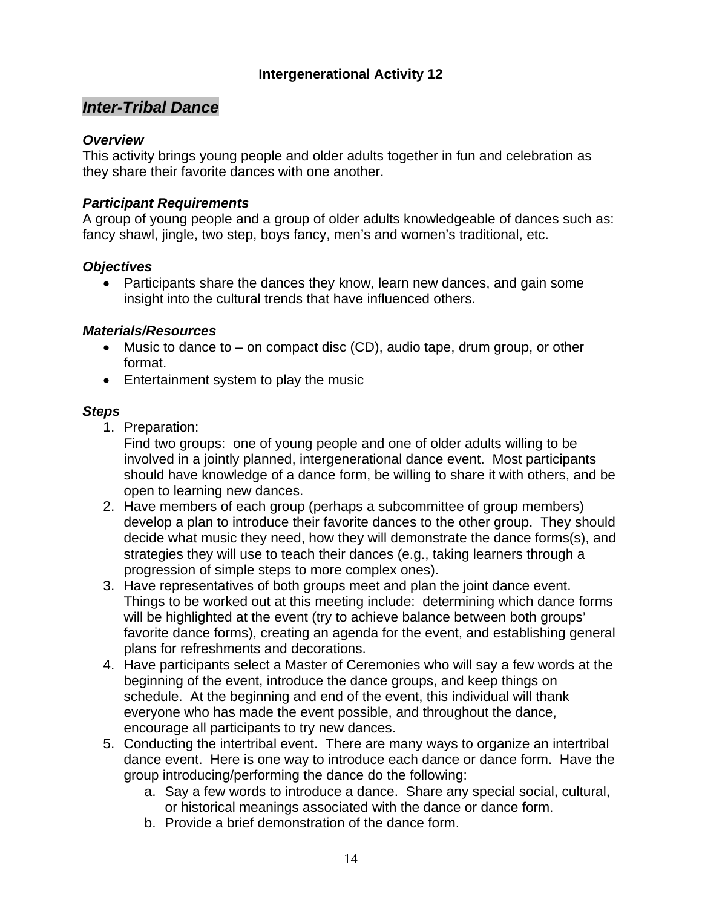# *Inter-Tribal Dance*

### *Overview*

This activity brings young people and older adults together in fun and celebration as they share their favorite dances with one another.

### *Participant Requirements*

A group of young people and a group of older adults knowledgeable of dances such as: fancy shawl, jingle, two step, boys fancy, men's and women's traditional, etc.

### *Objectives*

• Participants share the dances they know, learn new dances, and gain some insight into the cultural trends that have influenced others.

### *Materials/Resources*

- Music to dance to  $-$  on compact disc (CD), audio tape, drum group, or other format.
- Entertainment system to play the music

### *Steps*

1. Preparation:

 Find two groups: one of young people and one of older adults willing to be involved in a jointly planned, intergenerational dance event. Most participants should have knowledge of a dance form, be willing to share it with others, and be open to learning new dances.

- 2. Have members of each group (perhaps a subcommittee of group members) develop a plan to introduce their favorite dances to the other group. They should decide what music they need, how they will demonstrate the dance forms(s), and strategies they will use to teach their dances (e.g., taking learners through a progression of simple steps to more complex ones).
- 3. Have representatives of both groups meet and plan the joint dance event. Things to be worked out at this meeting include: determining which dance forms will be highlighted at the event (try to achieve balance between both groups' favorite dance forms), creating an agenda for the event, and establishing general plans for refreshments and decorations.
- 4. Have participants select a Master of Ceremonies who will say a few words at the beginning of the event, introduce the dance groups, and keep things on schedule. At the beginning and end of the event, this individual will thank everyone who has made the event possible, and throughout the dance, encourage all participants to try new dances.
- 5. Conducting the intertribal event. There are many ways to organize an intertribal dance event. Here is one way to introduce each dance or dance form. Have the group introducing/performing the dance do the following:
	- a. Say a few words to introduce a dance. Share any special social, cultural, or historical meanings associated with the dance or dance form.
	- b. Provide a brief demonstration of the dance form.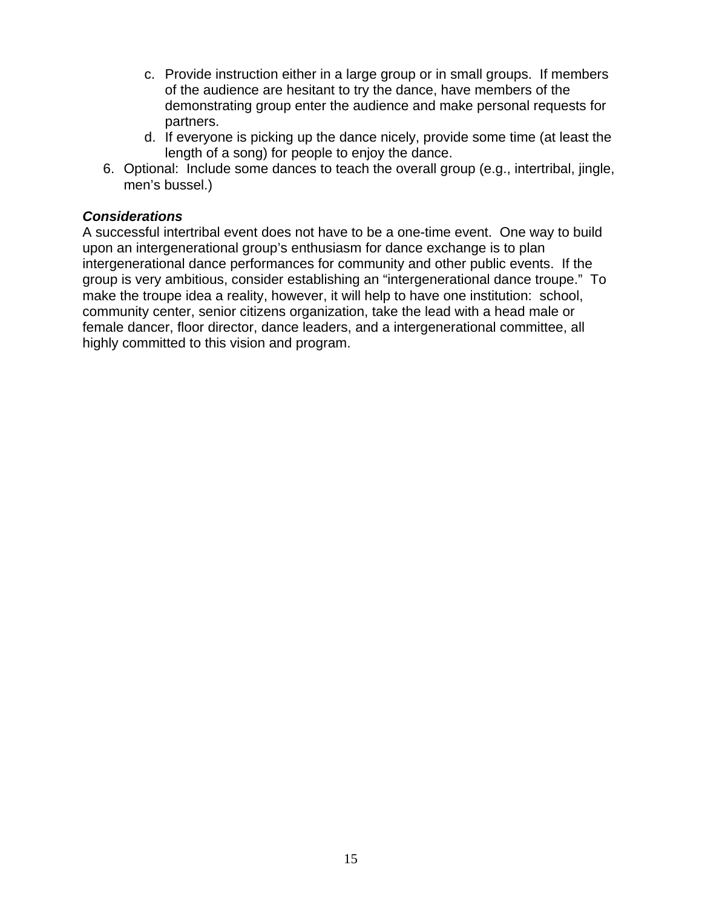- c. Provide instruction either in a large group or in small groups. If members of the audience are hesitant to try the dance, have members of the demonstrating group enter the audience and make personal requests for partners.
- d. If everyone is picking up the dance nicely, provide some time (at least the length of a song) for people to enjoy the dance.
- 6. Optional: Include some dances to teach the overall group (e.g., intertribal, jingle, men's bussel.)

### *Considerations*

A successful intertribal event does not have to be a one-time event. One way to build upon an intergenerational group's enthusiasm for dance exchange is to plan intergenerational dance performances for community and other public events. If the group is very ambitious, consider establishing an "intergenerational dance troupe." To make the troupe idea a reality, however, it will help to have one institution: school, community center, senior citizens organization, take the lead with a head male or female dancer, floor director, dance leaders, and a intergenerational committee, all highly committed to this vision and program.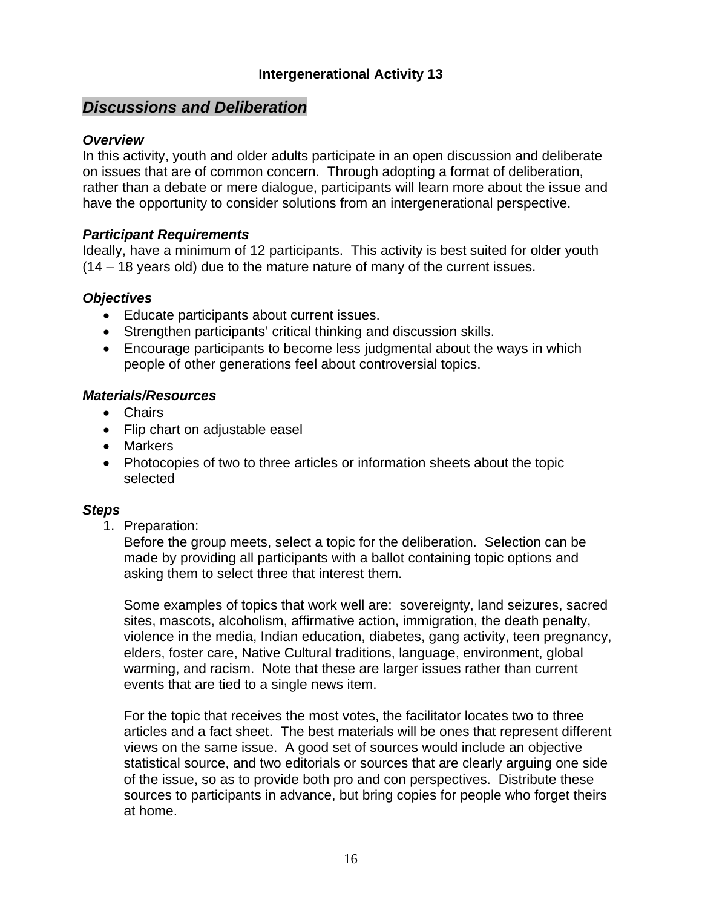# *Discussions and Deliberation*

#### *Overview*

In this activity, youth and older adults participate in an open discussion and deliberate on issues that are of common concern. Through adopting a format of deliberation, rather than a debate or mere dialogue, participants will learn more about the issue and have the opportunity to consider solutions from an intergenerational perspective.

#### *Participant Requirements*

Ideally, have a minimum of 12 participants. This activity is best suited for older youth (14 – 18 years old) due to the mature nature of many of the current issues.

### *Objectives*

- Educate participants about current issues.
- Strengthen participants' critical thinking and discussion skills.
- Encourage participants to become less judgmental about the ways in which people of other generations feel about controversial topics.

### *Materials/Resources*

- Chairs
- Flip chart on adjustable easel
- Markers
- Photocopies of two to three articles or information sheets about the topic selected

### *Steps*

1. Preparation:

Before the group meets, select a topic for the deliberation. Selection can be made by providing all participants with a ballot containing topic options and asking them to select three that interest them.

Some examples of topics that work well are: sovereignty, land seizures, sacred sites, mascots, alcoholism, affirmative action, immigration, the death penalty, violence in the media, Indian education, diabetes, gang activity, teen pregnancy, elders, foster care, Native Cultural traditions, language, environment, global warming, and racism. Note that these are larger issues rather than current events that are tied to a single news item.

For the topic that receives the most votes, the facilitator locates two to three articles and a fact sheet. The best materials will be ones that represent different views on the same issue. A good set of sources would include an objective statistical source, and two editorials or sources that are clearly arguing one side of the issue, so as to provide both pro and con perspectives. Distribute these sources to participants in advance, but bring copies for people who forget theirs at home.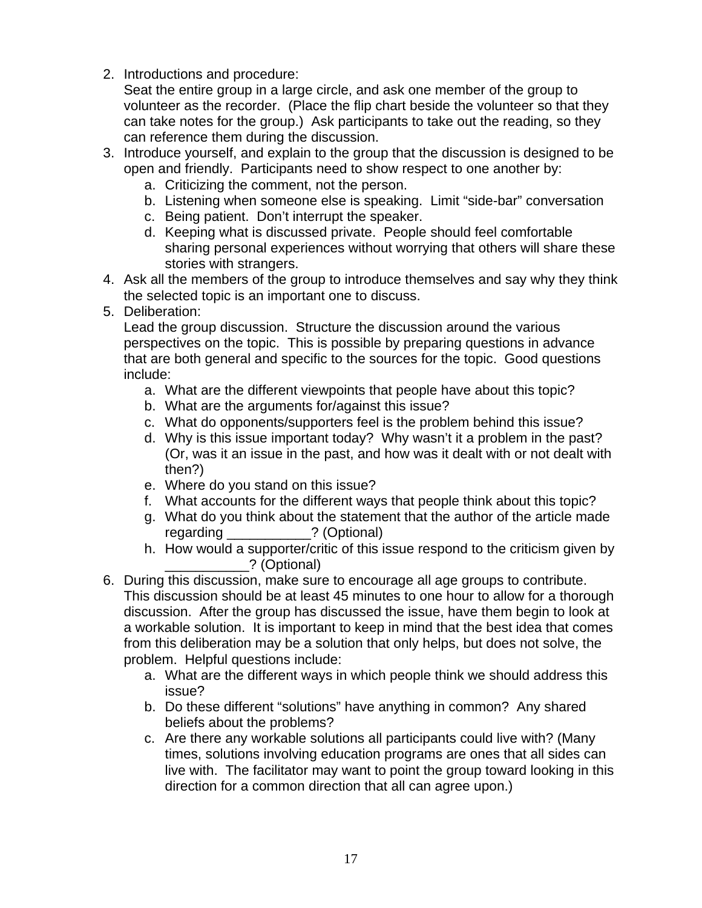2. Introductions and procedure:

Seat the entire group in a large circle, and ask one member of the group to volunteer as the recorder. (Place the flip chart beside the volunteer so that they can take notes for the group.) Ask participants to take out the reading, so they can reference them during the discussion.

- 3. Introduce yourself, and explain to the group that the discussion is designed to be open and friendly. Participants need to show respect to one another by:
	- a. Criticizing the comment, not the person.
	- b. Listening when someone else is speaking. Limit "side-bar" conversation
	- c. Being patient. Don't interrupt the speaker.
	- d. Keeping what is discussed private. People should feel comfortable sharing personal experiences without worrying that others will share these stories with strangers.
- 4. Ask all the members of the group to introduce themselves and say why they think the selected topic is an important one to discuss.
- 5. Deliberation:

Lead the group discussion. Structure the discussion around the various perspectives on the topic. This is possible by preparing questions in advance that are both general and specific to the sources for the topic. Good questions include:

- a. What are the different viewpoints that people have about this topic?
- b. What are the arguments for/against this issue?
- c. What do opponents/supporters feel is the problem behind this issue?
- d. Why is this issue important today? Why wasn't it a problem in the past? (Or, was it an issue in the past, and how was it dealt with or not dealt with then?)
- e. Where do you stand on this issue?
- f. What accounts for the different ways that people think about this topic?
- g. What do you think about the statement that the author of the article made regarding \_\_\_\_\_\_\_\_\_\_\_? (Optional)
- h. How would a supporter/critic of this issue respond to the criticism given by \_\_\_\_\_\_\_\_\_\_\_? (Optional)
- 6. During this discussion, make sure to encourage all age groups to contribute. This discussion should be at least 45 minutes to one hour to allow for a thorough discussion. After the group has discussed the issue, have them begin to look at a workable solution. It is important to keep in mind that the best idea that comes from this deliberation may be a solution that only helps, but does not solve, the problem. Helpful questions include:
	- a. What are the different ways in which people think we should address this issue?
	- b. Do these different "solutions" have anything in common? Any shared beliefs about the problems?
	- c. Are there any workable solutions all participants could live with? (Many times, solutions involving education programs are ones that all sides can live with. The facilitator may want to point the group toward looking in this direction for a common direction that all can agree upon.)